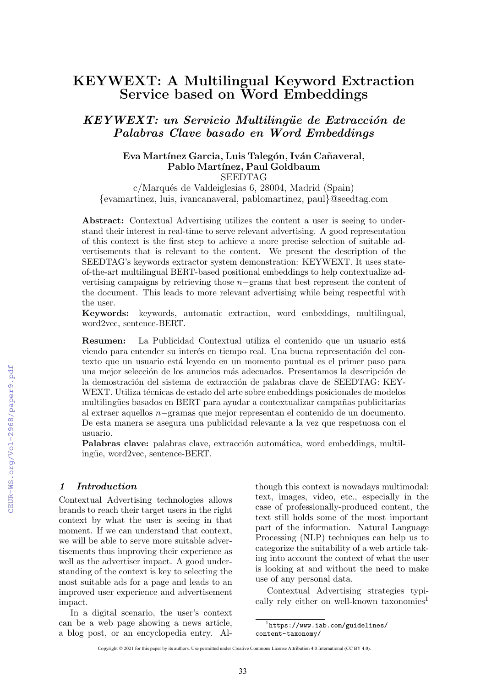# KEYWEXT: A Multilingual Keyword Extraction Service based on Word Embeddings

KEYWEXT: un Servicio Multilingüe de Extracción de Palabras Clave basado en Word Embeddings

#### Eva Martínez Garcia, Luis Talegón, Iván Cañaveral, Pablo Martínez, Paul Goldbaum SEEDTAG

c/Marqués de Valdeiglesias 6, 28004, Madrid (Spain) {evamartinez, luis, ivancanaveral, pablomartinez, paul}@seedtag.com

Abstract: Contextual Advertising utilizes the content a user is seeing to understand their interest in real-time to serve relevant advertising. A good representation of this context is the first step to achieve a more precise selection of suitable advertisements that is relevant to the content. We present the description of the SEEDTAG's keywords extractor system demonstration: KEYWEXT. It uses stateof-the-art multilingual BERT-based positional embeddings to help contextualize advertising campaigns by retrieving those  $n-$ grams that best represent the content of the document. This leads to more relevant advertising while being respectful with the user.

Keywords: keywords, automatic extraction, word embeddings, multilingual, word2vec, sentence-BERT.

Resumen: La Publicidad Contextual utiliza el contenido que un usuario está viendo para entender su interés en tiempo real. Una buena representación del contexto que un usuario está leyendo en un momento puntual es el primer paso para una mejor selección de los anuncios más adecuados. Presentamos la descripción de la demostración del sistema de extracción de palabras clave de SEEDTAG: KEY-WEXT. Utiliza técnicas de estado del arte sobre embeddings posicionales de modelos multilingües basados en BERT para ayudar a contextualizar campañas publicitarias al extraer aquellos n−gramas que mejor representan el contenido de un documento. De esta manera se asegura una publicidad relevante a la vez que respetuosa con el usuario.

Palabras clave: palabras clave, extracción automática, word embeddings, multilingüe, word2vec, sentence-BERT.

#### 1 Introduction

Contextual Advertising technologies allows brands to reach their target users in the right context by what the user is seeing in that moment. If we can understand that context, we will be able to serve more suitable advertisements thus improving their experience as well as the advertiser impact. A good understanding of the context is key to selecting the most suitable ads for a page and leads to an improved user experience and advertisement impact.

In a digital scenario, the user's context can be a web page showing a news article, a blog post, or an encyclopedia entry. Although this context is nowadays multimodal: text, images, video, etc., especially in the case of professionally-produced content, the text still holds some of the most important part of the information. Natural Language Processing (NLP) techniques can help us to categorize the suitability of a web article taking into account the context of what the user is looking at and without the need to make use of any personal data.

Contextual Advertising strategies typically rely either on well-known taxonomies<sup>1</sup>

<sup>1</sup> https://www.iab.com/guidelines/ content-taxonomy/

Copyright © 2021 for this paper by its authors. Use permitted under Creative Commons License Attribution 4.0 International (CC BY 4.0).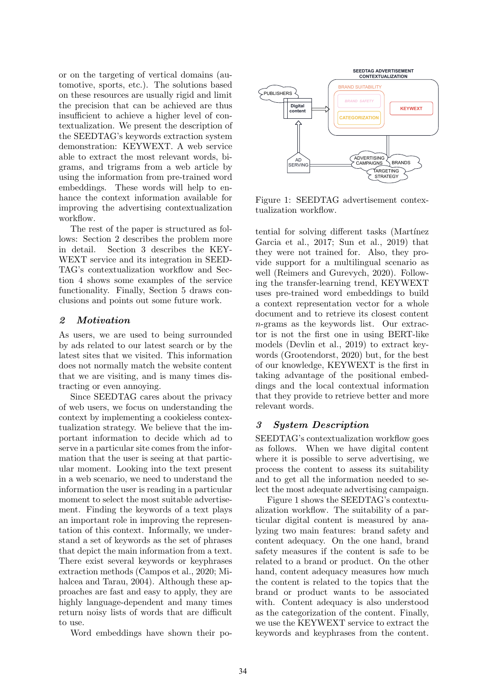or on the targeting of vertical domains (automotive, sports, etc.). The solutions based on these resources are usually rigid and limit the precision that can be achieved are thus insufficient to achieve a higher level of contextualization. We present the description of the SEEDTAG's keywords extraction system demonstration: KEYWEXT. A web service able to extract the most relevant words, bigrams, and trigrams from a web article by using the information from pre-trained word embeddings. These words will help to enhance the context information available for improving the advertising contextualization workflow.

The rest of the paper is structured as follows: Section 2 describes the problem more in detail. Section 3 describes the KEY-WEXT service and its integration in SEED-TAG's contextualization workflow and Section 4 shows some examples of the service functionality. Finally, Section 5 draws conclusions and points out some future work.

# 2 Motivation

As users, we are used to being surrounded by ads related to our latest search or by the latest sites that we visited. This information does not normally match the website content that we are visiting, and is many times distracting or even annoying.

Since SEEDTAG cares about the privacy of web users, we focus on understanding the context by implementing a cookieless contextualization strategy. We believe that the important information to decide which ad to serve in a particular site comes from the information that the user is seeing at that particular moment. Looking into the text present in a web scenario, we need to understand the information the user is reading in a particular moment to select the most suitable advertisement. Finding the keywords of a text plays an important role in improving the representation of this context. Informally, we understand a set of keywords as the set of phrases that depict the main information from a text. There exist several keywords or keyphrases extraction methods (Campos et al., 2020; Mihalcea and Tarau, 2004). Although these approaches are fast and easy to apply, they are highly language-dependent and many times return noisy lists of words that are difficult to use.

Word embeddings have shown their po-



Figure 1: SEEDTAG advertisement contextualization workflow.

tential for solving different tasks (Martínez) Garcia et al., 2017; Sun et al., 2019) that they were not trained for. Also, they provide support for a multilingual scenario as well (Reimers and Gurevych, 2020). Following the transfer-learning trend, KEYWEXT uses pre-trained word embeddings to build a context representation vector for a whole document and to retrieve its closest content n-grams as the keywords list. Our extractor is not the first one in using BERT-like models (Devlin et al., 2019) to extract keywords (Grootendorst, 2020) but, for the best of our knowledge, KEYWEXT is the first in taking advantage of the positional embeddings and the local contextual information that they provide to retrieve better and more relevant words.

# 3 System Description

SEEDTAG's contextualization workflow goes as follows. When we have digital content where it is possible to serve advertising, we process the content to assess its suitability and to get all the information needed to select the most adequate advertising campaign.

Figure 1 shows the SEEDTAG's contextualization workflow. The suitability of a particular digital content is measured by analyzing two main features: brand safety and content adequacy. On the one hand, brand safety measures if the content is safe to be related to a brand or product. On the other hand, content adequacy measures how much the content is related to the topics that the brand or product wants to be associated with. Content adequacy is also understood as the categorization of the content. Finally, we use the KEYWEXT service to extract the keywords and keyphrases from the content.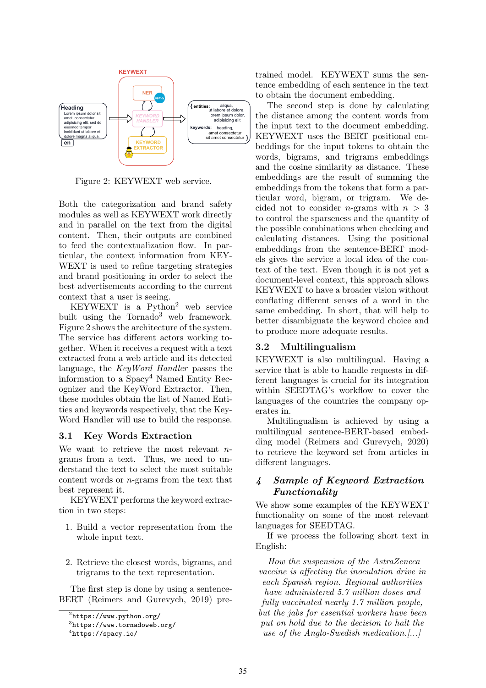

Figure 2: KEYWEXT web service.

Both the categorization and brand safety modules as well as KEYWEXT work directly and in parallel on the text from the digital content. Then, their outputs are combined to feed the contextualization flow. In particular, the context information from KEY-WEXT is used to refine targeting strategies and brand positioning in order to select the best advertisements according to the current context that a user is seeing.

KEYWEXT is a Python<sup>2</sup> web service built using the Tornado<sup>3</sup> web framework. Figure 2 shows the architecture of the system. The service has different actors working together. When it receives a request with a text extracted from a web article and its detected language, the KeyWord Handler passes the information to a Spacy<sup>4</sup> Named Entity Recognizer and the KeyWord Extractor. Then, these modules obtain the list of Named Entities and keywords respectively, that the Key-Word Handler will use to build the response.

# 3.1 Key Words Extraction

We want to retrieve the most relevant ngrams from a text. Thus, we need to understand the text to select the most suitable content words or n-grams from the text that best represent it.

KEYWEXT performs the keyword extraction in two steps:

- 1. Build a vector representation from the whole input text.
- 2. Retrieve the closest words, bigrams, and trigrams to the text representation.

The first step is done by using a sentence-BERT (Reimers and Gurevych, 2019) pretrained model. KEYWEXT sums the sentence embedding of each sentence in the text to obtain the document embedding.

The second step is done by calculating the distance among the content words from the input text to the document embedding. KEYWEXT uses the BERT positional embeddings for the input tokens to obtain the words, bigrams, and trigrams embeddings and the cosine similarity as distance. These embeddings are the result of summing the embeddings from the tokens that form a particular word, bigram, or trigram. We decided not to consider *n*-grams with  $n > 3$ to control the sparseness and the quantity of the possible combinations when checking and calculating distances. Using the positional embeddings from the sentence-BERT models gives the service a local idea of the context of the text. Even though it is not yet a document-level context, this approach allows KEYWEXT to have a broader vision without conflating different senses of a word in the same embedding. In short, that will help to better disambiguate the keyword choice and to produce more adequate results.

#### 3.2 Multilingualism

KEYWEXT is also multilingual. Having a service that is able to handle requests in different languages is crucial for its integration within SEEDTAG's workflow to cover the languages of the countries the company operates in.

Multilingualism is achieved by using a multilingual sentence-BERT-based embedding model (Reimers and Gurevych, 2020) to retrieve the keyword set from articles in different languages.

### 4 Sample of Keyword Extraction Functionality

We show some examples of the KEYWEXT functionality on some of the most relevant languages for SEEDTAG.

If we process the following short text in English:

How the suspension of the AstraZeneca vaccine is affecting the inoculation drive in each Spanish region. Regional authorities have administered 5.7 million doses and fully vaccinated nearly 1.7 million people, but the jabs for essential workers have been put on hold due to the decision to halt the use of the Anglo-Swedish medication.[...]

 $^{2}$ https://www.python.org/

<sup>3</sup> https://www.tornadoweb.org/

<sup>4</sup> https://spacy.io/